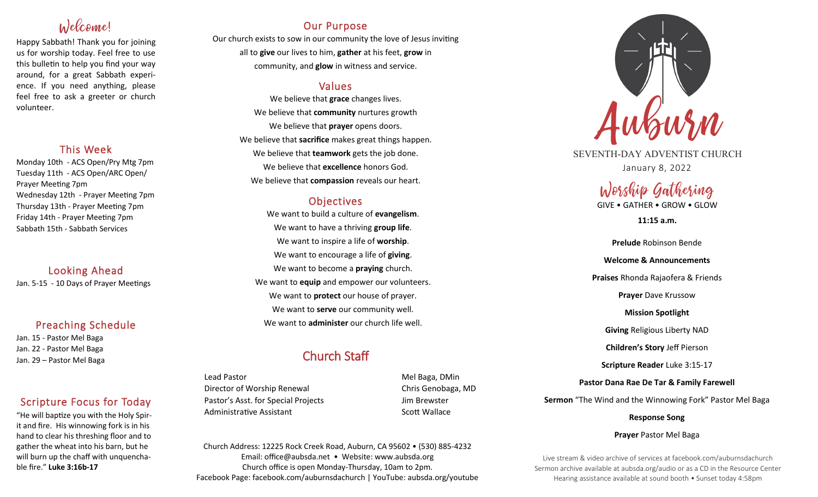# Welcome!

Happy Sabbath! Thank you for joining us for worship today. Feel free to use this bulletin to help you find your way around, for a great Sabbath experience. If you need anything, please feel free to ask a greeter or church volunteer.

## This Week

Monday 10th - ACS Open/Pry Mtg 7pm Tuesday 11th - ACS Open/ARC Open/ Prayer Meeting 7pm Wednesday 12th - Prayer Meeting 7pm Thursday 13th - Prayer Meeting 7pm Friday 14th - Prayer Meeting 7pm Sabbath 15th - Sabbath Services

Looking Ahead Jan. 5-15 - 10 Days of Prayer Meetings

## Preaching Schedule

Jan. 15 - Pastor Mel Baga Jan. 22 - Pastor Mel Baga Jan. 29 – Pastor Mel Baga

## Scripture Focus for Today

"He will baptize you with the Holy Spirit and fire. His winnowing fork is in his hand to clear his threshing floor and to gather the wheat into his barn, but he will burn up the chaff with unquenchable fire." **Luke 3:16b-17**

## Our Purpose

Our church exists to sow in our community the love of Jesus inviting all to **give** our lives to him, **gather** at his feet, **grow** in community, and **glow** in witness and service.

## Values

We believe that **grace** changes lives. We believe that **community** nurtures growth We believe that **prayer** opens doors. We believe that **sacrifice** makes great things happen. We believe that **teamwork** gets the job done. We believe that **excellence** honors God. We believe that **compassion** reveals our heart.

## **Objectives**

We want to build a culture of **evangelism**. We want to have a thriving **group life**. We want to inspire a life of **worship**. We want to encourage a life of **giving**. We want to become a **praying** church. We want to **equip** and empower our volunteers. We want to **protect** our house of prayer. We want to **serve** our community well. We want to **administer** our church life well.

## Church Staff

Lead Pastor **Mel Baga**, DMin Director of Worship Renewal Chris Genobaga, MD Pastor's Asst. for Special Projects Fig. 3.1 Jim Brewster Administrative Assistant National Scott Wallace

Church Address: 12225 Rock Creek Road, Auburn, CA 95602 • (530) 885-4232 Email: office@aubsda.net • Website: www.aubsda.org Church office is open Monday-Thursday, 10am to 2pm. Facebook Page: facebook.com/auburnsdachurch | YouTube: aubsda.org/youtube



SEVENTH-DAY ADVENTIST CHURCH January 8, 2022

# Worship Gathering

GIVE • GATHER • GROW • GLOW

**11:15 a.m.**

**Prelude** Robinson Bende **Welcome & Announcements Praises** Rhonda Rajaofera & Friends **Prayer** Dave Krussow **Mission Spotlight Giving** Religious Liberty NAD **Children's Story** Jeff Pierson **Scripture Reader** Luke 3:15-17 **Pastor Dana Rae De Tar & Family Farewell Sermon** "The Wind and the Winnowing Fork" Pastor Mel Baga

**Response Song**

### **Prayer** Pastor Mel Baga

Live stream & video archive of services at facebook.com/auburnsdachurch Sermon archive available at aubsda.org/audio or as a CD in the Resource Center Hearing assistance available at sound booth • Sunset today 4:58pm